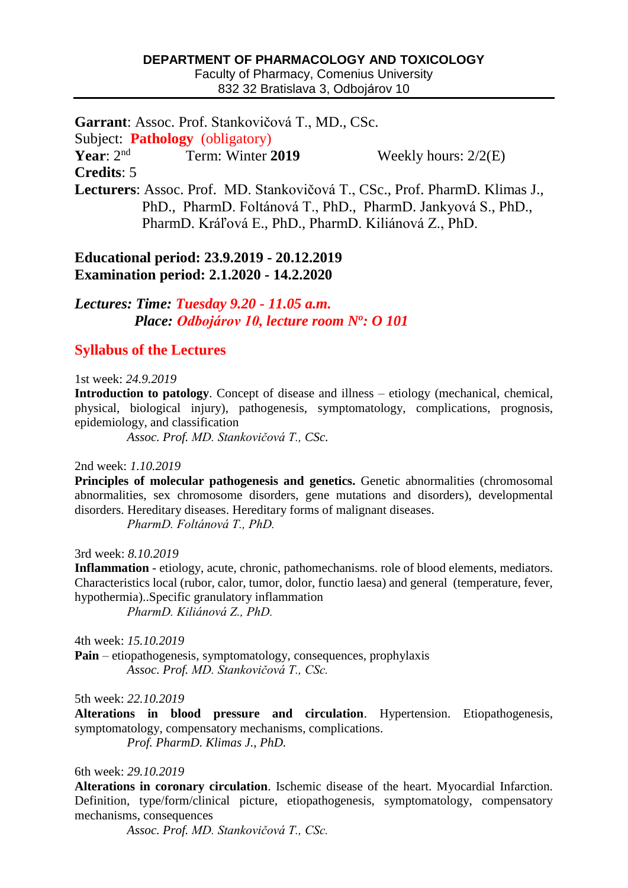### **DEPARTMENT OF PHARMACOLOGY AND TOXICOLOGY**

Faculty of Pharmacy, Comenius University 832 32 Bratislava 3, Odbojárov 10

**Garrant**: Assoc. Prof. Stankovičová T., MD., CSc. Subject: **Pathology** (obligatory) **Year**: 2nd Term: Winter **2019** Weekly hours: 2/2(E) **Credits**: 5 **Lecturers**: Assoc. Prof. MD. Stankovičová T., CSc., Prof. PharmD. Klimas J., PhD., PharmD. Foltánová T., PhD., PharmD. Jankyová S., PhD., PharmD. Kráľová E., PhD., PharmD. Kiliánová Z., PhD.

## **Educational period: 23.9.2019 - 20.12.2019 Examination period: 2.1.2020 - 14.2.2020**

*Lectures: Time: Tuesday 9.20 - 11.05 a.m. Place: Odbojárov 10, lecture room N<sup>o</sup> : O 101*

# **Syllabus of the Lectures**

1st week: *24.9.2019*

**Introduction to patology**. Concept of disease and illness – etiology (mechanical, chemical, physical, biological injury), pathogenesis, symptomatology, complications, prognosis, epidemiology, and classification

*Assoc. Prof. MD. Stankovičová T., CSc.*

2nd week: *1.10.2019*

**Principles of molecular pathogenesis and genetics.** Genetic abnormalities (chromosomal abnormalities, sex chromosome disorders, gene mutations and disorders), developmental disorders. Hereditary diseases. Hereditary forms of malignant diseases.

*PharmD. Foltánová T., PhD.*

3rd week: *8.10.2019*

**Inflammation** - etiology, acute, chronic, pathomechanisms. role of blood elements, mediators. Characteristics local (rubor, calor, tumor, dolor, functio laesa) and general (temperature, fever, hypothermia)..Specific granulatory inflammation

*PharmD. Kiliánová Z., PhD.*

4th week: *15.10.2019* **Pain** – etiopathogenesis, symptomatology, consequences, prophylaxis *Assoc. Prof. MD. Stankovičová T., CSc.*

5th week: *22.10.2019*

**Alterations in blood pressure and circulation**. Hypertension. Etiopathogenesis, symptomatology, compensatory mechanisms, complications.

*Prof. PharmD. Klimas J., PhD.*

6th week: *29.10.2019*

**Alterations in coronary circulation**. Ischemic disease of the heart. Myocardial Infarction. Definition, type/form/clinical picture, etiopathogenesis, symptomatology, compensatory mechanisms, consequences

*Assoc. Prof. MD. Stankovičová T., CSc.*